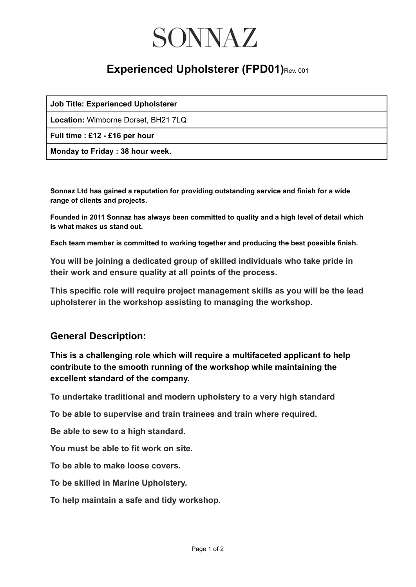## SONNAZ

### **Experienced Upholsterer (FPD01)**Rev. 001

| <b>Job Title: Experienced Upholsterer</b> |  |  |  |  |
|-------------------------------------------|--|--|--|--|
|-------------------------------------------|--|--|--|--|

**Location:** Wimborne Dorset, BH21 7LQ

**Full time : £12 - £16 per hour**

**Monday to Friday : 38 hour week.**

**Sonnaz Ltd has gained a reputation for providing outstanding service and finish for a wide range of clients and projects.**

**Founded in 2011 Sonnaz has always been committed to quality and a high level of detail which is what makes us stand out.**

**Each team member is committed to working together and producing the best possible finish.**

**You will be joining a dedicated group of skilled individuals who take pride in their work and ensure quality at all points of the process.**

**This specific role will require project management skills as you will be the lead upholsterer in the workshop assisting to managing the workshop.**

#### **General Description:**

**This is a challenging role which will require a multifaceted applicant to help contribute to the smooth running of the workshop while maintaining the excellent standard of the company.**

**To undertake traditional and modern upholstery to a very high standard**

**To be able to supervise and train trainees and train where required.**

**Be able to sew to a high standard.**

**You must be able to fit work on site.**

**To be able to make loose covers.**

**To be skilled in Marine Upholstery.**

**To help maintain a safe and tidy workshop.**